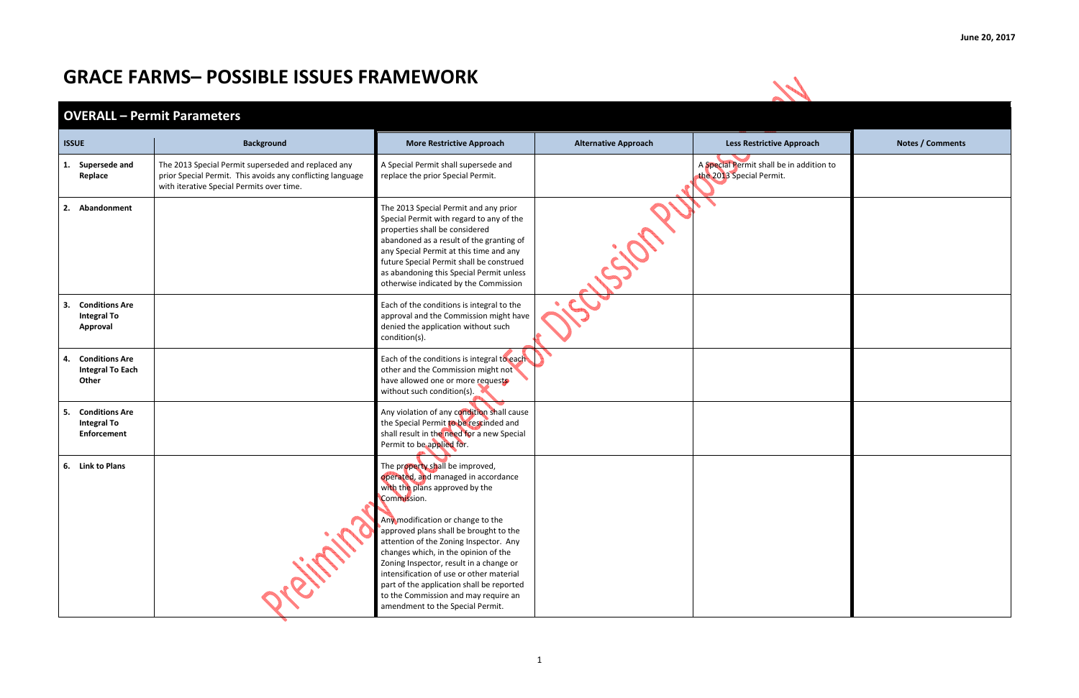| <b>Approach</b> | <b>Notes / Comments</b> |
|-----------------|-------------------------|
| in addition to  |                         |
|                 |                         |
|                 |                         |
|                 |                         |
|                 |                         |
|                 |                         |
|                 |                         |
|                 |                         |
|                 |                         |
|                 |                         |
|                 |                         |
|                 |                         |
|                 |                         |
|                 |                         |
|                 |                         |
|                 |                         |
|                 |                         |
|                 |                         |
|                 |                         |

## **GRACE FARMS– POSSIBLE ISSUES FRAMEWORK**



## **OVERALL – Permit Parameters**

| <b>ISSUE</b>                                                            | <b>Background</b>                                                                                                                                              | <b>More Restrictive Approach</b>                                                                                                                                                                                                                                                                                                                                                                                                                                                                         | <b>Alternative Approach</b> | <b>Less Restrictive Approach</b>                                     | <b>Notes / Comments</b> |
|-------------------------------------------------------------------------|----------------------------------------------------------------------------------------------------------------------------------------------------------------|----------------------------------------------------------------------------------------------------------------------------------------------------------------------------------------------------------------------------------------------------------------------------------------------------------------------------------------------------------------------------------------------------------------------------------------------------------------------------------------------------------|-----------------------------|----------------------------------------------------------------------|-------------------------|
| 1. Supersede and<br>Replace                                             | The 2013 Special Permit superseded and replaced any<br>prior Special Permit. This avoids any conflicting language<br>with iterative Special Permits over time. | A Special Permit shall supersede and<br>replace the prior Special Permit.                                                                                                                                                                                                                                                                                                                                                                                                                                |                             | A Special Permit shall be in addition to<br>the 2013 Special Permit. |                         |
| 2. Abandonment                                                          |                                                                                                                                                                | The 2013 Special Permit and any prior<br>Special Permit with regard to any of the<br>properties shall be considered<br>abandoned as a result of the granting of<br>any Special Permit at this time and any<br>future Special Permit shall be construed<br>as abandoning this Special Permit unless<br>otherwise indicated by the Commission                                                                                                                                                              | ip                          |                                                                      |                         |
| 3. Conditions Are<br><b>Integral To</b><br>Approval                     |                                                                                                                                                                | Each of the conditions is integral to the<br>approval and the Commission might have<br>denied the application without such<br>condition(s).                                                                                                                                                                                                                                                                                                                                                              |                             |                                                                      |                         |
| 4. Conditions Are<br><b>Integral To Each</b><br>Other                   |                                                                                                                                                                | Each of the conditions is integral to each<br>other and the Commission might not<br>have allowed one or more requests<br>without such condition(s).                                                                                                                                                                                                                                                                                                                                                      |                             |                                                                      |                         |
| <b>Conditions Are</b><br>5.<br><b>Integral To</b><br><b>Enforcement</b> |                                                                                                                                                                | Any violation of any condition shall cause<br>the Special Permit to be rescinded and<br>shall result in the need for a new Special<br>Permit to be applied for.                                                                                                                                                                                                                                                                                                                                          |                             |                                                                      |                         |
| 6. Link to Plans                                                        |                                                                                                                                                                | The property shall be improved,<br>operated, and managed in accordance<br>with the plans approved by the<br>Commission.<br>Any modification or change to the<br>approved plans shall be brought to the<br>attention of the Zoning Inspector. Any<br>changes which, in the opinion of the<br>Zoning Inspector, result in a change or<br>intensification of use or other material<br>part of the application shall be reported<br>to the Commission and may require an<br>amendment to the Special Permit. |                             |                                                                      |                         |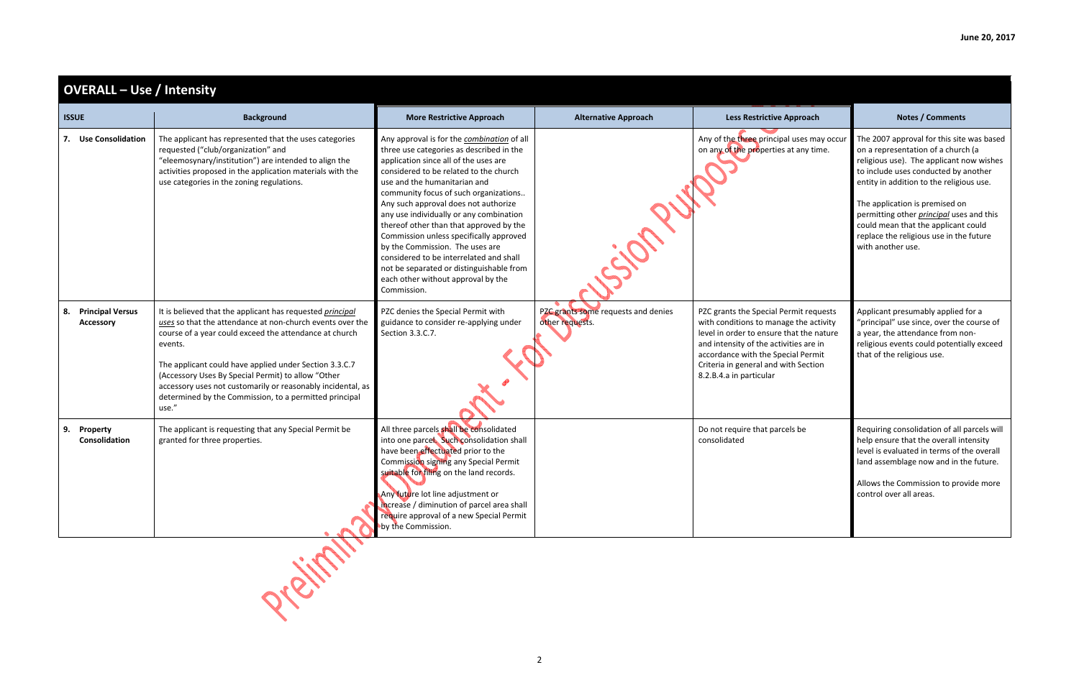| <b>OVERALL - Use / Intensity</b>           |                                                                                                                                                                                                                                                                                                                                                                                                                                               |                                                                                                                                                                                                                                                                                                                                                                                                                                                                                                                                                                                                            |                                                        |                                                                                                                                                                                                                                                                                 |                                                                                                                                                                                                                                                                                                                                                                                                             |  |
|--------------------------------------------|-----------------------------------------------------------------------------------------------------------------------------------------------------------------------------------------------------------------------------------------------------------------------------------------------------------------------------------------------------------------------------------------------------------------------------------------------|------------------------------------------------------------------------------------------------------------------------------------------------------------------------------------------------------------------------------------------------------------------------------------------------------------------------------------------------------------------------------------------------------------------------------------------------------------------------------------------------------------------------------------------------------------------------------------------------------------|--------------------------------------------------------|---------------------------------------------------------------------------------------------------------------------------------------------------------------------------------------------------------------------------------------------------------------------------------|-------------------------------------------------------------------------------------------------------------------------------------------------------------------------------------------------------------------------------------------------------------------------------------------------------------------------------------------------------------------------------------------------------------|--|
| <b>ISSUE</b>                               | <b>Background</b>                                                                                                                                                                                                                                                                                                                                                                                                                             | <b>More Restrictive Approach</b>                                                                                                                                                                                                                                                                                                                                                                                                                                                                                                                                                                           | <b>Alternative Approach</b>                            | <b>Less Restrictive Approach</b>                                                                                                                                                                                                                                                | <b>Notes / Comments</b>                                                                                                                                                                                                                                                                                                                                                                                     |  |
| 7. Use Consolidation                       | The applicant has represented that the uses categories<br>requested ("club/organization" and<br>"eleemosynary/institution") are intended to align the<br>activities proposed in the application materials with the<br>use categories in the zoning regulations.                                                                                                                                                                               | Any approval is for the combination of all<br>three use categories as described in the<br>application since all of the uses are<br>considered to be related to the church<br>use and the humanitarian and<br>community focus of such organizations<br>Any such approval does not authorize<br>any use individually or any combination<br>thereof other than that approved by the<br>Commission unless specifically approved<br>by the Commission. The uses are<br>considered to be interrelated and shall<br>not be separated or distinguishable from<br>each other without approval by the<br>Commission. | ipri                                                   | Any of the three principal uses may occur<br>on any of the properties at any time.                                                                                                                                                                                              | The 2007 approval for this site was based<br>on a representation of a church (a<br>religious use). The applicant now wishes<br>to include uses conducted by another<br>entity in addition to the religious use.<br>The application is premised on<br>permitting other <i>principal</i> uses and this<br>could mean that the applicant could<br>replace the religious use in the future<br>with another use. |  |
| <b>Principal Versus</b><br>8.<br>Accessory | It is believed that the applicant has requested principal<br>uses so that the attendance at non-church events over the<br>course of a year could exceed the attendance at church<br>events.<br>The applicant could have applied under Section 3.3.C.7<br>(Accessory Uses By Special Permit) to allow "Other<br>accessory uses not customarily or reasonably incidental, as<br>determined by the Commission, to a permitted principal<br>use." | PZC denies the Special Permit with<br>guidance to consider re-applying under<br>Section 3.3.C.7.                                                                                                                                                                                                                                                                                                                                                                                                                                                                                                           | PZC grants some requests and denies<br>other requests. | PZC grants the Special Permit requests<br>with conditions to manage the activity<br>level in order to ensure that the nature<br>and intensity of the activities are in<br>accordance with the Special Permit<br>Criteria in general and with Section<br>8.2.B.4.a in particular | Applicant presumably applied for a<br>"principal" use since, over the course of<br>a year, the attendance from non-<br>religious events could potentially exceed<br>that of the religious use.                                                                                                                                                                                                              |  |
| 9.<br>Property<br>Consolidation            | The applicant is requesting that any Special Permit be<br>granted for three properties.                                                                                                                                                                                                                                                                                                                                                       | All three parcels shall be consolidated<br>into one parcel. Such consolidation shall<br>have been effectuated prior to the<br>Commission signing any Special Permit<br>suitable for filing on the land records.<br>Any future lot line adjustment or<br>increase / diminution of parcel area shall<br>require approval of a new Special Permit<br>by the Commission.                                                                                                                                                                                                                                       |                                                        | Do not require that parcels be<br>consolidated                                                                                                                                                                                                                                  | Requiring consolidation of all parcels will<br>help ensure that the overall intensity<br>level is evaluated in terms of the overall<br>land assemblage now and in the future.<br>Allows the Commission to provide more<br>control over all areas.                                                                                                                                                           |  |
|                                            |                                                                                                                                                                                                                                                                                                                                                                                                                                               |                                                                                                                                                                                                                                                                                                                                                                                                                                                                                                                                                                                                            |                                                        |                                                                                                                                                                                                                                                                                 |                                                                                                                                                                                                                                                                                                                                                                                                             |  |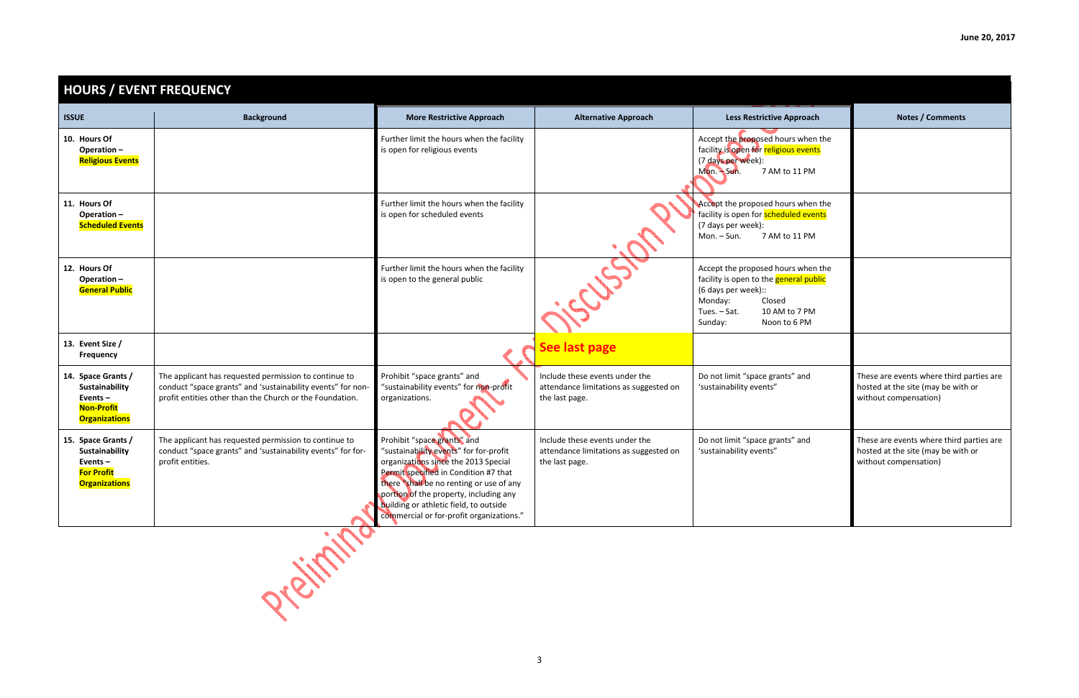| ve Approach                      | <b>Notes / Comments</b>                                                                                 |
|----------------------------------|---------------------------------------------------------------------------------------------------------|
| hours when the<br>igious events  |                                                                                                         |
| M to 11 PM                       |                                                                                                         |
| hours when the<br>neduled events |                                                                                                         |
| M to 11 PM                       |                                                                                                         |
| hours when the<br>general public |                                                                                                         |
| sed<br>AM to 7 PM<br>on to 6 PM  |                                                                                                         |
|                                  |                                                                                                         |
| rants" and<br>"                  | These are events where third parties are<br>hosted at the site (may be with or<br>without compensation) |
| rants" and<br>"                  | These are events where third parties are<br>hosted at the site (may be with or<br>without compensation) |
|                                  |                                                                                                         |

| <b>HOURS / EVENT FREQUENCY</b>                                                                  |                                                                                                                                                                                  |                                                                                                                                                                                                                                                                                                                                    |                                                                                            |                                                                                                                                                                                             |                                                                                         |
|-------------------------------------------------------------------------------------------------|----------------------------------------------------------------------------------------------------------------------------------------------------------------------------------|------------------------------------------------------------------------------------------------------------------------------------------------------------------------------------------------------------------------------------------------------------------------------------------------------------------------------------|--------------------------------------------------------------------------------------------|---------------------------------------------------------------------------------------------------------------------------------------------------------------------------------------------|-----------------------------------------------------------------------------------------|
| <b>ISSUE</b>                                                                                    | <b>Background</b>                                                                                                                                                                | <b>More Restrictive Approach</b>                                                                                                                                                                                                                                                                                                   | <b>Alternative Approach</b>                                                                | <b>Less Restrictive Approach</b>                                                                                                                                                            | <b>Notes / Comments</b>                                                                 |
| 10. Hours Of<br>Operation-<br><b>Religious Events</b>                                           |                                                                                                                                                                                  | Further limit the hours when the facility<br>is open for religious events                                                                                                                                                                                                                                                          |                                                                                            | Accept the proposed hours when the<br>facility is open for religious events<br>(7 days per week):<br>$Mon. - Sun.$<br>7 AM to 11 PM                                                         |                                                                                         |
| 11. Hours Of<br>Operation-<br><b>Scheduled Events</b>                                           |                                                                                                                                                                                  | Further limit the hours when the facility<br>is open for scheduled events                                                                                                                                                                                                                                                          |                                                                                            | Accept the proposed hours when the<br>facility is open for <b>scheduled events</b><br>(7 days per week):<br>Mon. - Sun.<br>7 AM to 11 PM                                                    |                                                                                         |
| 12. Hours Of<br>Operation-<br><b>General Public</b>                                             |                                                                                                                                                                                  | Further limit the hours when the facility<br>is open to the general public                                                                                                                                                                                                                                                         | 235                                                                                        | Accept the proposed hours when the<br>facility is open to the <b>general public</b><br>(6 days per week)::<br>Closed<br>Monday:<br>Tues. - Sat.<br>10 AM to 7 PM<br>Sunday:<br>Noon to 6 PM |                                                                                         |
| 13. Event Size /<br>Frequency                                                                   |                                                                                                                                                                                  |                                                                                                                                                                                                                                                                                                                                    | See last page                                                                              |                                                                                                                                                                                             |                                                                                         |
| 14. Space Grants /<br>Sustainability<br>Events $-$<br><b>Non-Profit</b><br><b>Organizations</b> | The applicant has requested permission to continue to<br>conduct "space grants" and 'sustainability events" for non-<br>profit entities other than the Church or the Foundation. | Prohibit "space grants" and<br>"sustainability events" for non-profit<br>organizations.                                                                                                                                                                                                                                            | Include these events under the<br>attendance limitations as suggested on<br>the last page. | Do not limit "space grants" and<br>'sustainability events"                                                                                                                                  | These are events where third<br>hosted at the site (may be wit<br>without compensation) |
| 15. Space Grants /<br>Sustainability<br>Events $-$<br><b>For Profit</b><br><b>Organizations</b> | The applicant has requested permission to continue to<br>conduct "space grants" and 'sustainability events" for for-<br>profit entities.<br><b>College</b><br><b>ALC</b>         | Prohibit "space grants" and<br>"sustainability events" for for-profit<br>organizations since the 2013 Special<br>Permit specified in Condition #7 that<br>there "shall be no renting or use of any<br>portion of the property, including any<br>building or athletic field, to outside<br>commercial or for-profit organizations." | Include these events under the<br>attendance limitations as suggested on<br>the last page. | Do not limit "space grants" and<br>'sustainability events"                                                                                                                                  | These are events where third<br>hosted at the site (may be wit<br>without compensation) |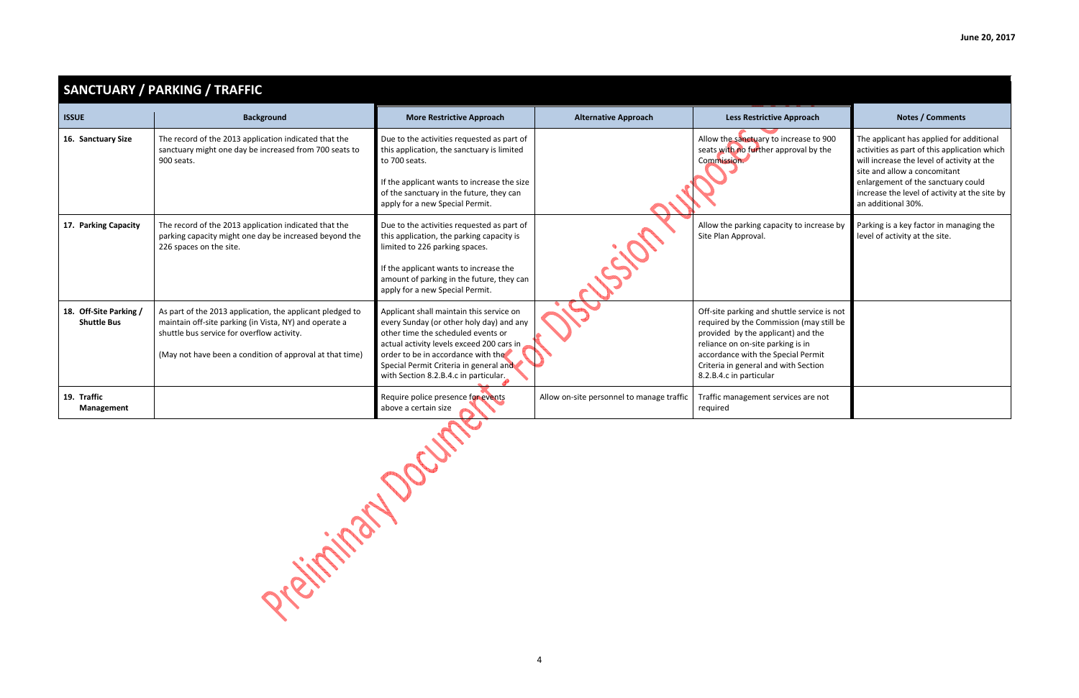|                                              | <b>SANCTUARY / PARKING / TRAFFIC</b>                                                                                                                                                                                          |                                                                                                                                                                                                                                                                                                  |                                           |                                                                                                                                                                                                                                                                             |                                                                                                                                                                                                                                                                                     |  |  |
|----------------------------------------------|-------------------------------------------------------------------------------------------------------------------------------------------------------------------------------------------------------------------------------|--------------------------------------------------------------------------------------------------------------------------------------------------------------------------------------------------------------------------------------------------------------------------------------------------|-------------------------------------------|-----------------------------------------------------------------------------------------------------------------------------------------------------------------------------------------------------------------------------------------------------------------------------|-------------------------------------------------------------------------------------------------------------------------------------------------------------------------------------------------------------------------------------------------------------------------------------|--|--|
| <b>ISSUE</b>                                 | <b>Background</b>                                                                                                                                                                                                             | <b>More Restrictive Approach</b>                                                                                                                                                                                                                                                                 | <b>Alternative Approach</b>               | <b>Less Restrictive Approach</b>                                                                                                                                                                                                                                            | <b>Notes / Comments</b>                                                                                                                                                                                                                                                             |  |  |
| 16. Sanctuary Size                           | The record of the 2013 application indicated that the<br>sanctuary might one day be increased from 700 seats to<br>900 seats.                                                                                                 | Due to the activities requested as part of<br>this application, the sanctuary is limited<br>to 700 seats.<br>If the applicant wants to increase the size<br>of the sanctuary in the future, they can<br>apply for a new Special Permit.                                                          |                                           | Allow the sanctuary to increase to 900<br>seats with no further approval by the<br>Commission.                                                                                                                                                                              | The applicant has applied for additional<br>activities as part of this application which<br>will increase the level of activity at the<br>site and allow a concomitant<br>enlargement of the sanctuary could<br>increase the level of activity at the site by<br>an additional 30%. |  |  |
| 17. Parking Capacity                         | The record of the 2013 application indicated that the<br>parking capacity might one day be increased beyond the<br>226 spaces on the site.                                                                                    | Due to the activities requested as part of<br>this application, the parking capacity is<br>limited to 226 parking spaces.<br>If the applicant wants to increase the<br>amount of parking in the future, they can<br>apply for a new Special Permit.                                              |                                           | Allow the parking capacity to increase by<br>Site Plan Approval.                                                                                                                                                                                                            | Parking is a key factor in managing the<br>level of activity at the site.                                                                                                                                                                                                           |  |  |
| 18. Off-Site Parking /<br><b>Shuttle Bus</b> | As part of the 2013 application, the applicant pledged to<br>maintain off-site parking (in Vista, NY) and operate a<br>shuttle bus service for overflow activity.<br>(May not have been a condition of approval at that time) | Applicant shall maintain this service on<br>every Sunday (or other holy day) and any<br>other time the scheduled events or<br>actual activity levels exceed 200 cars in<br>order to be in accordance with the<br>Special Permit Criteria in general and<br>with Section 8.2.B.4.c in particular. |                                           | Off-site parking and shuttle service is not<br>required by the Commission (may still be<br>provided by the applicant) and the<br>reliance on on-site parking is in<br>accordance with the Special Permit<br>Criteria in general and with Section<br>8.2.B.4.c in particular |                                                                                                                                                                                                                                                                                     |  |  |
| 19. Traffic<br>Management                    |                                                                                                                                                                                                                               | Require police presence for events<br>above a certain size                                                                                                                                                                                                                                       | Allow on-site personnel to manage traffic | Traffic management services are not<br>required                                                                                                                                                                                                                             |                                                                                                                                                                                                                                                                                     |  |  |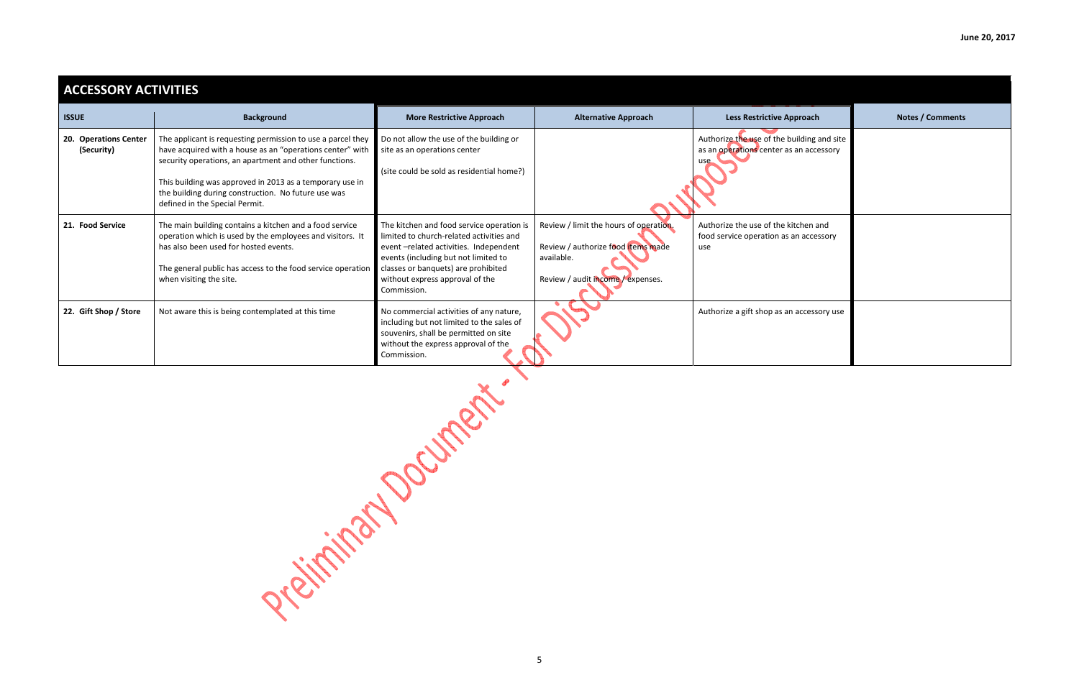| proach                           | <b>Notes / Comments</b> |
|----------------------------------|-------------------------|
| uilding and site<br>an accessory |                         |
| tchen and<br>an accessory        |                         |
| accessory use                    |                         |

| <b>ACCESSORY ACTIVITIES</b>         |                                                                                                                                                                                                                                                                                                                                         |                                                                                                                                                                                                                                                                 |                                                                                                                                 |                                                                                              |                  |
|-------------------------------------|-----------------------------------------------------------------------------------------------------------------------------------------------------------------------------------------------------------------------------------------------------------------------------------------------------------------------------------------|-----------------------------------------------------------------------------------------------------------------------------------------------------------------------------------------------------------------------------------------------------------------|---------------------------------------------------------------------------------------------------------------------------------|----------------------------------------------------------------------------------------------|------------------|
| <b>ISSUE</b>                        | <b>Background</b>                                                                                                                                                                                                                                                                                                                       | <b>More Restrictive Approach</b>                                                                                                                                                                                                                                | <b>Alternative Approach</b>                                                                                                     | <b>Less Restrictive Approach</b>                                                             | Notes / Comments |
| 20. Operations Center<br>(Security) | The applicant is requesting permission to use a parcel they<br>have acquired with a house as an "operations center" with<br>security operations, an apartment and other functions.<br>This building was approved in 2013 as a temporary use in<br>the building during construction. No future use was<br>defined in the Special Permit. | Do not allow the use of the building or<br>site as an operations center<br>(site could be sold as residential home?)                                                                                                                                            |                                                                                                                                 | Authorize the use of the building and site<br>as an operations center as an accessory<br>use |                  |
| 21. Food Service                    | The main building contains a kitchen and a food service<br>operation which is used by the employees and visitors. It<br>has also been used for hosted events.<br>The general public has access to the food service operation<br>when visiting the site.                                                                                 | The kitchen and food service operation is<br>limited to church-related activities and<br>event-related activities. Independent<br>events (including but not limited to<br>classes or banquets) are prohibited<br>without express approval of the<br>Commission. | Review / limit the hours of operation.<br>Review / authorize food items made<br>available.<br>Review / audit income / expenses. | Authorize the use of the kitchen and<br>food service operation as an accessory<br>use        |                  |
| 22. Gift Shop / Store               | Not aware this is being contemplated at this time                                                                                                                                                                                                                                                                                       | No commercial activities of any nature,<br>including but not limited to the sales of<br>souvenirs, shall be permitted on site<br>without the express approval of the<br>Commission.                                                                             |                                                                                                                                 | Authorize a gift shop as an accessory use                                                    |                  |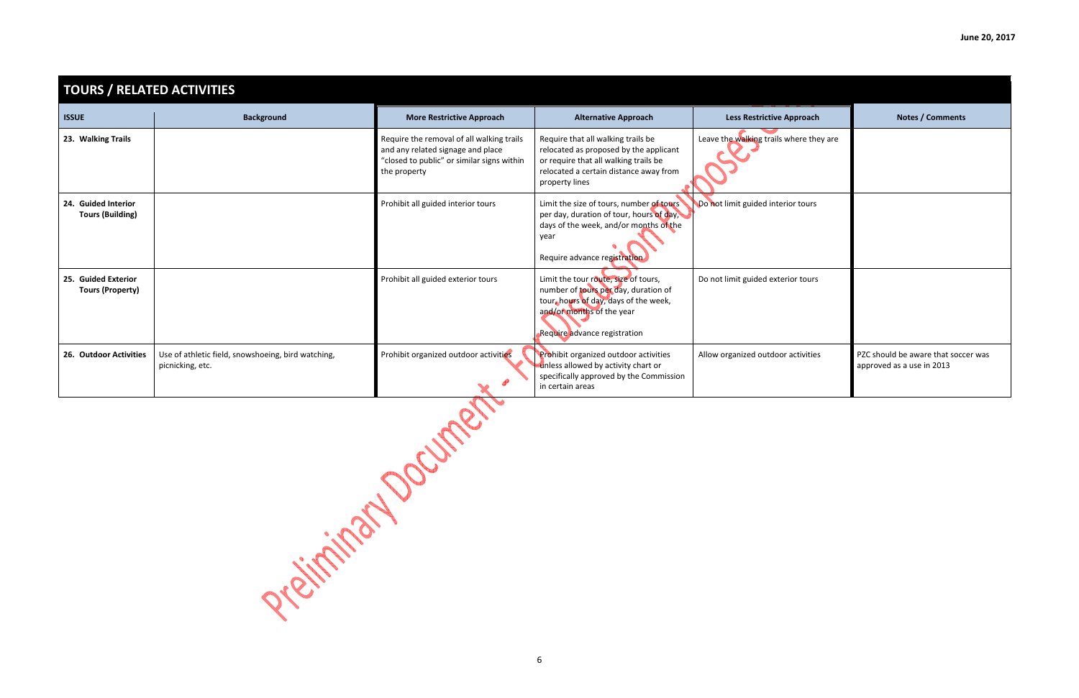| <b>TOURS / RELATED ACTIVITIES</b>              |                                                                        |                                                                                                                                              |                                                                                                                                                                                    |                                         |                                                            |
|------------------------------------------------|------------------------------------------------------------------------|----------------------------------------------------------------------------------------------------------------------------------------------|------------------------------------------------------------------------------------------------------------------------------------------------------------------------------------|-----------------------------------------|------------------------------------------------------------|
| <b>ISSUE</b>                                   | <b>Background</b>                                                      | <b>More Restrictive Approach</b>                                                                                                             | <b>Alternative Approach</b>                                                                                                                                                        | <b>Less Restrictive Approach</b>        | <b>Notes / Comments</b>                                    |
| 23. Walking Trails                             |                                                                        | Require the removal of all walking trails<br>and any related signage and place<br>"closed to public" or similar signs within<br>the property | Require that all walking trails be<br>relocated as proposed by the applicant<br>or require that all walking trails be<br>relocated a certain distance away from<br>property lines  | Leave the walking trails where they are |                                                            |
| 24. Guided Interior<br><b>Tours (Building)</b> |                                                                        | Prohibit all guided interior tours                                                                                                           | Limit the size of tours, number of tours<br>per day, duration of tour, hours of day,<br>days of the week, and/or months of the<br>year<br>Require advance registration             | Do not limit guided interior tours      |                                                            |
| 25. Guided Exterior<br><b>Tours (Property)</b> |                                                                        | Prohibit all guided exterior tours                                                                                                           | Limit the tour route, size of tours,<br>number of tours per day, duration of<br>tour, hours of day, days of the week,<br>and/or months of the year<br>Require advance registration | Do not limit guided exterior tours      |                                                            |
| 26. Outdoor Activities                         | Use of athletic field, snowshoeing, bird watching,<br>picnicking, etc. | Prohibit organized outdoor activities                                                                                                        | Prohibit organized outdoor activities<br>unless allowed by activity chart or<br>specifically approved by the Commission<br>in certain areas                                        | Allow organized outdoor activities      | PZC should be aware that sock<br>approved as a use in 2013 |

Prelimination of Current

| Less Restrictive Approach            | <b>Notes / Comments</b>                                          |
|--------------------------------------|------------------------------------------------------------------|
| ve the walking trails where they are |                                                                  |
| ot limit guided interior tours       |                                                                  |
| not limit guided exterior tours      |                                                                  |
| w organized outdoor activities       | PZC should be aware that soccer was<br>approved as a use in 2013 |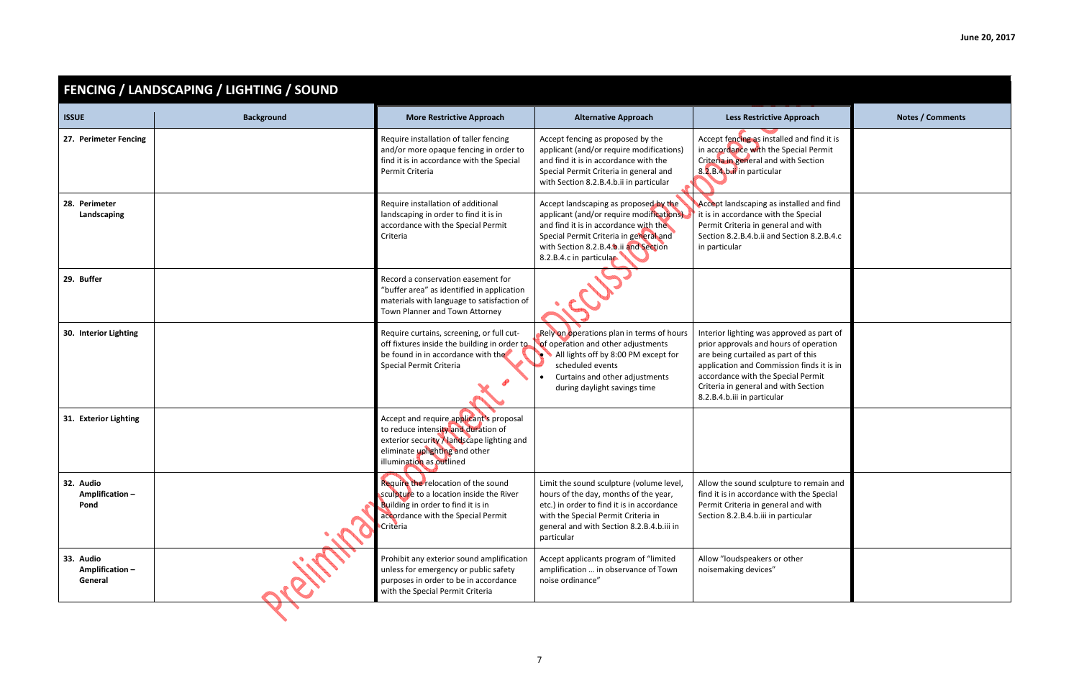| proach<br>and find it is<br>cial Permit<br>Section                                    | <b>Notes / Comments</b> |
|---------------------------------------------------------------------------------------|-------------------------|
| alled and find<br>Special<br>nd with<br>tion 8.2.B.4.c                                |                         |
|                                                                                       |                         |
| ved as part of<br>of operation<br>of this<br>n finds it is in<br>al Permit<br>Section |                         |
|                                                                                       |                         |
| to remain and<br>n the Special<br>nd with<br>cular                                    |                         |
| er                                                                                    |                         |

|                                        | <b>FENCING / LANDSCAPING / LIGHTING / SOUND</b> |                                                                                                                                                                                           |                                                                                                                                                                                                                                           |                                                                                                                                                                                                                                                                                      |                         |
|----------------------------------------|-------------------------------------------------|-------------------------------------------------------------------------------------------------------------------------------------------------------------------------------------------|-------------------------------------------------------------------------------------------------------------------------------------------------------------------------------------------------------------------------------------------|--------------------------------------------------------------------------------------------------------------------------------------------------------------------------------------------------------------------------------------------------------------------------------------|-------------------------|
| <b>ISSUE</b>                           | <b>Background</b>                               | <b>More Restrictive Approach</b>                                                                                                                                                          | <b>Alternative Approach</b>                                                                                                                                                                                                               | <b>Less Restrictive Approach</b>                                                                                                                                                                                                                                                     | <b>Notes / Comments</b> |
| 27. Perimeter Fencing                  |                                                 | Require installation of taller fencing<br>and/or more opaque fencing in order to<br>find it is in accordance with the Special<br>Permit Criteria                                          | Accept fencing as proposed by the<br>applicant (and/or require modifications)<br>and find it is in accordance with the<br>Special Permit Criteria in general and<br>with Section 8.2.B.4.b.ii in particular                               | Accept fencing as installed and find it is<br>in accordance with the Special Permit<br>Criteria in general and with Section<br>8.2.B.4.b.ii in particular                                                                                                                            |                         |
| 28. Perimeter<br>Landscaping           |                                                 | Require installation of additional<br>landscaping in order to find it is in<br>accordance with the Special Permit<br>Criteria                                                             | Accept landscaping as proposed by the<br>applicant (and/or require modifications).<br>and find it is in accordance with the<br>Special Permit Criteria in general and<br>with Section 8.2.B.4.b.ii and Section<br>8.2.B.4.c in particular | Accept landscaping as installed and find<br>it is in accordance with the Special<br>Permit Criteria in general and with<br>Section 8.2.B.4.b.ii and Section 8.2.B.4.c<br>in particular                                                                                               |                         |
| 29. Buffer                             |                                                 | Record a conservation easement for<br>"buffer area" as identified in application<br>materials with language to satisfaction of<br>Town Planner and Town Attorney                          |                                                                                                                                                                                                                                           |                                                                                                                                                                                                                                                                                      |                         |
| 30. Interior Lighting                  |                                                 | Require curtains, screening, or full cut-<br>off fixtures inside the building in order to<br>be found in in accordance with the<br>Special Permit Criteria                                | Rely on operations plan in terms of hours<br>of operation and other adjustments<br>All lights off by 8:00 PM except for<br>scheduled events<br>Curtains and other adjustments<br>during daylight savings time                             | Interior lighting was approved as part of<br>prior approvals and hours of operation<br>are being curtailed as part of this<br>application and Commission finds it is in<br>accordance with the Special Permit<br>Criteria in general and with Section<br>8.2.B.4.b.iii in particular |                         |
| 31. Exterior Lighting                  |                                                 | Accept and require applicant's proposal<br>to reduce intensity and duration of<br>exterior security Alandscape lighting and<br>eliminate uplighting and other<br>illumination as outlined |                                                                                                                                                                                                                                           |                                                                                                                                                                                                                                                                                      |                         |
| 32. Audio<br>Amplification-<br>Pond    |                                                 | Require the relocation of the sound<br>sculpture to a location inside the River<br>Building in order to find it is in<br>accordance with the Special Permit<br><b>Criteria</b>            | Limit the sound sculpture (volume level,<br>hours of the day, months of the year,<br>etc.) in order to find it is in accordance<br>with the Special Permit Criteria in<br>general and with Section 8.2.B.4.b.iii in<br>particular         | Allow the sound sculpture to remain and<br>find it is in accordance with the Special<br>Permit Criteria in general and with<br>Section 8.2.B.4.b.iii in particular                                                                                                                   |                         |
| 33. Audio<br>Amplification-<br>General |                                                 | Prohibit any exterior sound amplification<br>unless for emergency or public safety<br>purposes in order to be in accordance<br>with the Special Permit Criteria                           | Accept applicants program of "limited<br>amplification  in observance of Town<br>noise ordinance"                                                                                                                                         | Allow "loudspeakers or other<br>noisemaking devices"                                                                                                                                                                                                                                 |                         |
|                                        |                                                 |                                                                                                                                                                                           |                                                                                                                                                                                                                                           |                                                                                                                                                                                                                                                                                      |                         |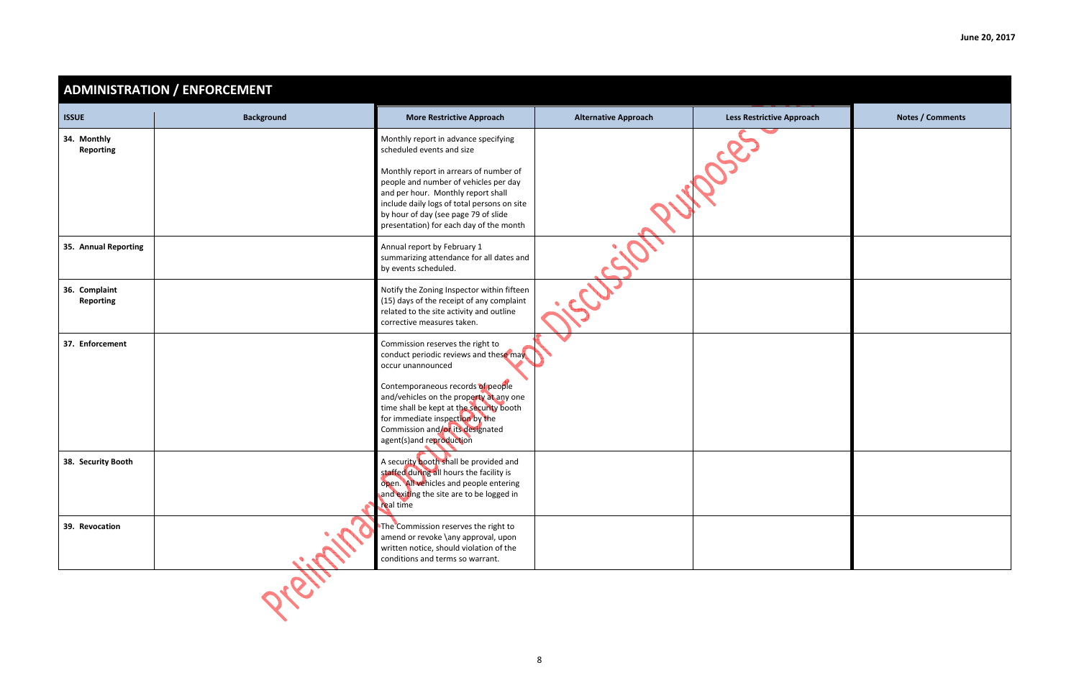| June 20, 2017 |  |  |
|---------------|--|--|
|               |  |  |

| <b>Less Restrictive Approach</b> | <b>Notes / Comments</b> |
|----------------------------------|-------------------------|
| OSC                              |                         |
|                                  |                         |
|                                  |                         |
|                                  |                         |
|                                  |                         |
|                                  |                         |

|                                   | <b>ADMINISTRATION / ENFORCEMENT</b> |                                                                                                                                                                                                                                                         |                             |                                  |                         |
|-----------------------------------|-------------------------------------|---------------------------------------------------------------------------------------------------------------------------------------------------------------------------------------------------------------------------------------------------------|-----------------------------|----------------------------------|-------------------------|
| <b>ISSUE</b>                      | <b>Background</b>                   | <b>More Restrictive Approach</b>                                                                                                                                                                                                                        | <b>Alternative Approach</b> | <b>Less Restrictive Approach</b> | <b>Notes / Comments</b> |
| 34. Monthly<br><b>Reporting</b>   |                                     | Monthly report in advance specifying<br>scheduled events and size                                                                                                                                                                                       |                             |                                  |                         |
|                                   |                                     | Monthly report in arrears of number of<br>people and number of vehicles per day<br>and per hour. Monthly report shall<br>include daily logs of total persons on site<br>by hour of day (see page 79 of slide<br>presentation) for each day of the month |                             |                                  |                         |
| 35. Annual Reporting              |                                     | Annual report by February 1<br>summarizing attendance for all dates and<br>by events scheduled.                                                                                                                                                         |                             |                                  |                         |
| 36. Complaint<br><b>Reporting</b> |                                     | Notify the Zoning Inspector within fifteen<br>(15) days of the receipt of any complaint<br>related to the site activity and outline<br>corrective measures taken.                                                                                       |                             |                                  |                         |
| 37. Enforcement                   |                                     | Commission reserves the right to<br>conduct periodic reviews and these may<br>occur unannounced                                                                                                                                                         |                             |                                  |                         |
|                                   |                                     | Contemporaneous records of people<br>and/vehicles on the property at any one<br>time shall be kept at the security booth<br>for immediate inspection by the<br>Commission and/or its designated<br>agent(s)and reproduction                             |                             |                                  |                         |
| 38. Security Booth                |                                     | A security booth shall be provided and<br>staffed during all hours the facility is<br>open. All vehicles and people entering<br>and exiting the site are to be logged in<br>real time                                                                   |                             |                                  |                         |
| 39. Revocation                    |                                     | The Commission reserves the right to<br>amend or revoke \any approval, upon<br>written notice, should violation of the<br>conditions and terms so warrant.                                                                                              |                             |                                  |                         |
|                                   |                                     |                                                                                                                                                                                                                                                         |                             |                                  |                         |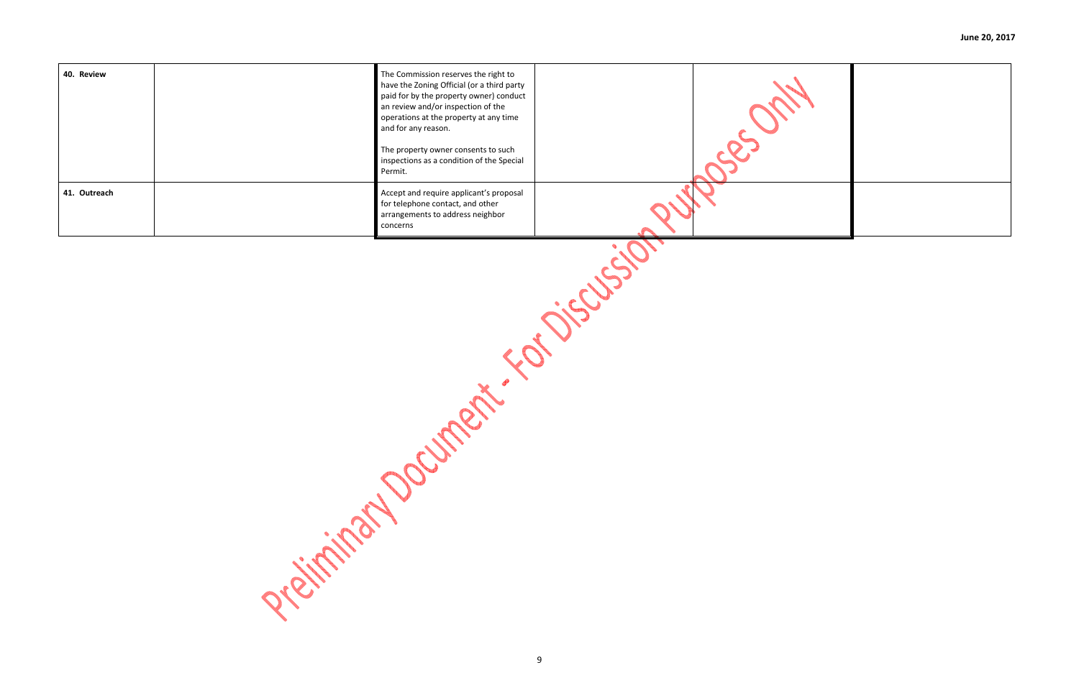

| 40. Review   | The Commission reserves the right to<br>have the Zoning Official (or a third party<br>paid for by the property owner) conduct<br>an review and/or inspection of the<br>operations at the property at any time<br>and for any reason.<br>The property owner consents to such<br>inspections as a condition of the Special<br>Permit. |  |
|--------------|-------------------------------------------------------------------------------------------------------------------------------------------------------------------------------------------------------------------------------------------------------------------------------------------------------------------------------------|--|
| 41. Outreach | Accept and require applicant's proposal<br>for telephone contact, and other<br>arrangements to address neighbor<br>concerns                                                                                                                                                                                                         |  |